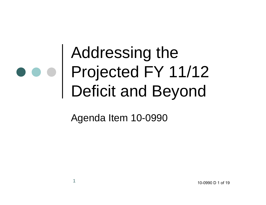### Addressing the Projected FY 11/12 Deficit and Beyond

Agenda Item 10-0990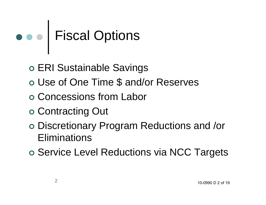# Fiscal Options

- ERI Sustainable Savings
- Use of One Time \$ and/or Reserves
- Concessions from Labor
- o Contracting Out
- Discretionary Program Reductions and /or **Eliminations**
- o Service Level Reductions via NCC Targets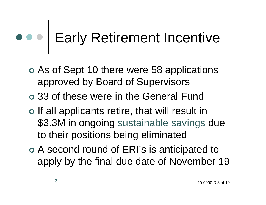### Early Retirement Incentive

- As of Sept 10 there were 58 applications approved by Board of Supervisors
- 33 of these were in the General Fund
- o If all applicants retire, that will result in \$3.3M in ongoing sustainable savings due to their positions being eliminated
- A second round of ERI's is anticipated to apply by the final due date of November 19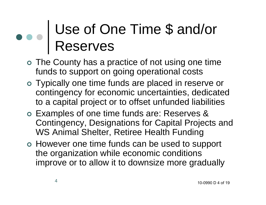#### Use of One Time \$ and/or Reserves

- The County has a practice of not using one time funds to support on going operational costs
- Typically one time funds are placed in reserve or contingency for economic uncertainties, dedicated to a capital project or to offset unfunded liabilities
- Examples of one time funds are: Reserves & Contingency, Designations for Capital Projects and WS Animal Shelter, Retiree Health Funding
- However one time funds can be used to support the organization while economic conditions improve or to allow it to downsize more gradually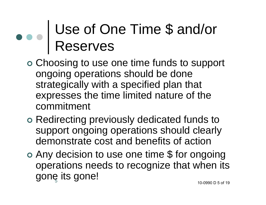#### Use of One Time \$ and/or Reserves

- Choosing to use one time funds to support ongoing operations should be done strategically with a specified plan that expresses the time limited nature of the commitment
- Redirecting previously dedicated funds to support ongoing operations should clearly demonstrate cost and benefits of action
- gonę its gone! Any decision to use one time \$ for ongoing operations needs to recognize that when its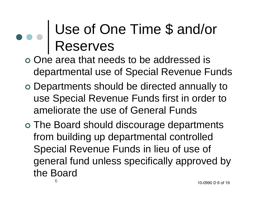#### Use of One Time \$ and/or Reserves

- o One area that needs to be addressed is departmental use of Special Revenue Funds
- Departments should be directed annually to use Special Revenue Funds first in order to ameliorate the use of General Funds
- The Board should discourage departments from building up departmental controlled Special Revenue Funds in lieu of use of general fund unless specifically approved by the Board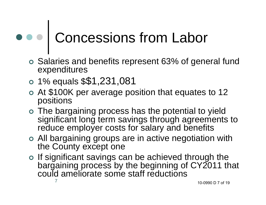## Concessions from Labor

- Salaries and benefits represent 63% of general fund expenditures
- 1% equals \$\$1,231,081
- At \$100K per average position that equates to 12 positions
- The bargaining process has the potential to yield significant long term savings through agreements to reduce employer costs for salary and benefits
- All bargaining groups are in active negotiation with the County except one
- 7o If significant savings can be achieved through the bargaining process by the beginning of CY2011 that could ameliorate some staff reductions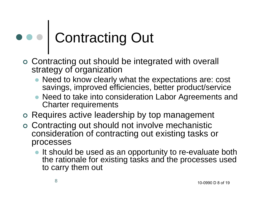# Contracting Out

- Contracting out should be integrated with overall strategy of organization
	- Need to know clearly what the expectations are: cost savings, improved efficiencies, better product/service
	- $\bullet$  Need to take into consideration Labor Agreements and Charter requirements
- Requires active leadership by top management
- Contracting out should not involve mechanistic consideration of contracting out existing tasks or processes
	- It should be used as an opportunity to re-evaluate both the rationale for existing tasks and the processes used to carry them out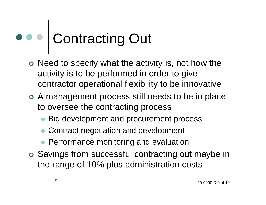## Contracting Out

- o Need to specify what the activity is, not how the activity is to be performed in order to give contractor operational flexibility to be innovative
- A management process still needs to be in place to oversee the contracting process
	- $\bullet$ Bid development and procurement process
	- $\bullet$ Contract negotiation and development
	- **Performance monitoring and evaluation**
- Savings from successful contracting out maybe in the range of 10% plus administration costs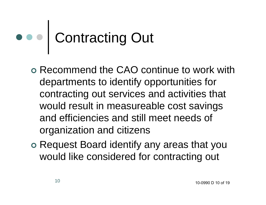## Contracting Out

- Recommend the CAO continue to work with departments to identify opportunities for contracting out services and activities that would result in measureable cost savings and efficiencies and still meet needs of organization and citizens
- o Request Board identify any areas that you would like considered for contracting out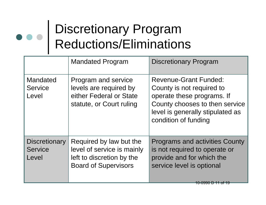#### Discretionary Program Reductions/Eliminations

|                                                 | <b>Mandated Program</b>                                                                                           | <b>Discretionary Program</b>                                                                                                                                                          |
|-------------------------------------------------|-------------------------------------------------------------------------------------------------------------------|---------------------------------------------------------------------------------------------------------------------------------------------------------------------------------------|
| Mandated<br><b>Service</b><br>Level             | Program and service<br>levels are required by<br>either Federal or State<br>statute, or Court ruling              | <b>Revenue-Grant Funded:</b><br>County is not required to<br>operate these programs. If<br>County chooses to then service<br>level is generally stipulated as<br>condition of funding |
| <b>Discretionary</b><br><b>Service</b><br>Level | Required by law but the<br>level of service is mainly<br>left to discretion by the<br><b>Board of Supervisors</b> | <b>Programs and activities County</b><br>is not required to operate or<br>provide and for which the<br>service level is optional<br>10-0990 D 11 of 1:                                |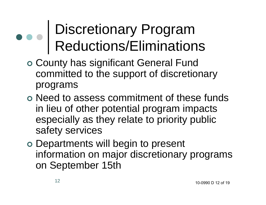#### Discretionary Program Reductions/Eliminations

- County has significant General Fund committed to the support of discretionary programs
- Need to assess commitment of these funds in lieu of other potential program impacts especially as they relate to priority public safety services
- Departments will begin to present information on major discretionary programs on September 15th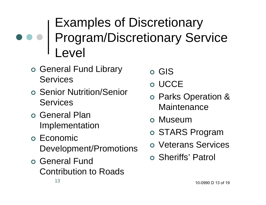#### Examples of Discretionary Program/Discretionary Service Level

- o General Fund Library Services
- Senior Nutrition/Senior **Services**
- o General Plan Implementation
- o Economic Development/Promotions
- o General Fund Contribution to Roads
- o GIS
- o UCCE
- Parks Operation & **Maintenance**
- o Museum
- o STARS Program
- Veterans Services
- Sheriffs' Patrol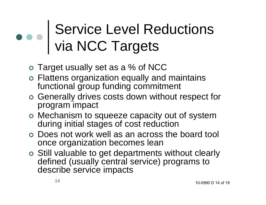#### Service Level Reductions via NCC Targets

- Target usually set as a % of NCC
- Flattens organization equally and maintains functional group funding commitment
- Generally drives costs down without respect for program impact
- Mechanism to squeeze capacity out of system during initial stages of cost reduction
- Does not work well as an across the board tool once organization becomes lean
- Still valuable to get departments without clearly defined (usually central service) programs to describe service impacts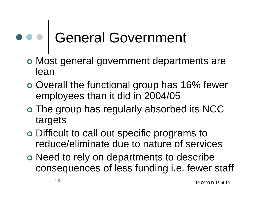# General Government

- Most general government departments are lean
- o Overall the functional group has 16% fewer employees than it did in 2004/05
- The group has regularly absorbed its NCC targets
- Difficult to call out specific programs to reduce/eliminate due to nature of services
- o Need to rely on departments to describe consequences of less funding i.e. fewer staff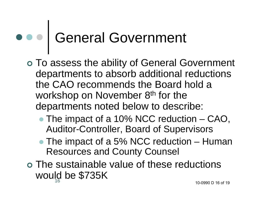### General Government

- To assess the ability of General Government departments to absorb additional reductions the CAO recommends the Board hold a workshop on November 8<sup>th</sup> for the departments noted below to describe:
	- The impact of a 10% NCC reduction CAO, Auditor-Controller, Board of Supervisors
	- The impact of a 5% NCC reduction Human Resources and County Counsel
- 16 The sustainable value of these reductions would be \$735K 10-0990 D 16 of 19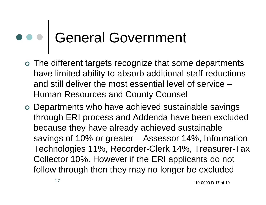### General Government

- The different targets recognize that some departments have limited ability to absorb additional staff reductions and still deliver the most essential level of service – Human Resources and County Counsel
- Departments who have achieved sustainable savings through ERI process and Addenda have been excluded because they have already achieved sustainable savings of 10% or greater – Assessor 14%, Information Technologies 11%, Recorder-Clerk 14%, Treasurer-Tax Collector 10%. However if the ERI applicants do not follow through then they may no longer be excluded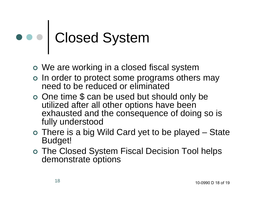# Closed System

- We are working in a closed fiscal system
- o In order to protect some programs others may need to be reduced or eliminated
- One time \$ can be used but should only be utilized after all other options have been exhausted and the consequence of doing so is fully understood
- There is a big Wild Card yet to be played State Budget!
- The Closed System Fiscal Decision Tool helps demonstrate options